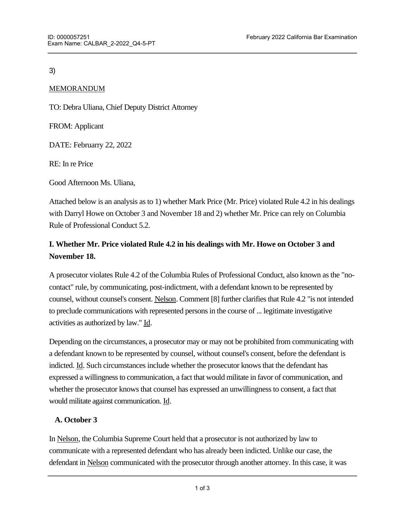#### 3)

#### MEMORANDUM

TO: Debra Uliana, Chief Deputy District Attorney

FROM: Applicant

DATE: Februarry 22, 2022

RE: In re Price

Good Afternoon Ms. Uliana,

Attached below is an analysis as to 1) whether Mark Price (Mr. Price) violated Rule 4.2 in his dealings with Darryl Howe on October 3 and November 18 and 2) whether Mr. Price can rely on Columbia Rule of Professional Conduct 5.2.

# **I. Whether Mr. Price violated Rule 4.2 in his dealings with Mr. Howe on October 3 and November 18.**

A prosecutor violates Rule 4.2 of the Columbia Rules of Professional Conduct, also known as the "nocontact" rule, by communicating, post-indictment, with a defendant known to be represented by counsel, without counsel's consent. Nelson. Comment [8] further clarifies that Rule 4.2 "is not intended to preclude communications with represented persons in the course of ... legitimate investigative activities as authorized by law." Id.

Depending on the circumstances, a prosecutor may or may not be prohibited from communicating with a defendant known to be represented by counsel, without counsel's consent, before the defendant is indicted. Id. Such circumstances include whether the prosecutor knows that the defendant has expressed a willingness to communication, a fact that would militate in favor of communication, and whether the prosecutor knows that counsel has expressed an unwillingness to consent, a fact that would militate against communication. Id.

## **A. October 3**

In Nelson, the Columbia Supreme Court held that a prosecutor is not authorized by law to communicate with a represented defendant who has already been indicted. Unlike our case, the defendant in Nelson communicated with the prosecutor through another attorney. In this case, it was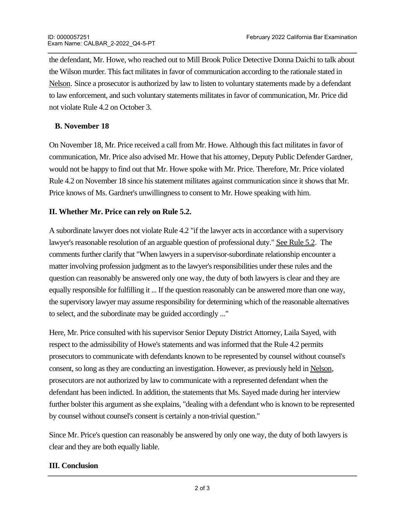the defendant, Mr. Howe, who reached out to Mill Brook Police Detective Donna Daichi to talk about the Wilson murder. This fact militates in favor of communication according to the rationale stated in Nelson. Since a prosecutor is authorized by law to listen to voluntary statements made by a defendant to law enforcement, and such voluntary statements militates in favor of communication, Mr. Price did not violate Rule 4.2 on October 3.

## **B. November 18**

On November 18, Mr. Price received a call from Mr. Howe. Although this fact militates in favor of communication, Mr. Price also advised Mr. Howe that his attorney, Deputy Public Defender Gardner, would not be happy to find out that Mr. Howe spoke with Mr. Price. Therefore, Mr. Price violated Rule 4.2 on November 18 since his statement militates against communication since it shows that Mr. Price knows of Ms. Gardner's unwillingness to consent to Mr. Howe speaking with him.

# **II. Whether Mr. Price can rely on Rule 5.2.**

A subordinate lawyer does not violate Rule 4.2 "if the lawyer acts in accordance with a supervisory lawyer's reasonable resolution of an arguable question of professional duty." See Rule 5.2. The comments further clarify that "When lawyers in a supervisor-subordinate relationship encounter a matter involving profession judgment as to the lawyer's responsibilities under these rules and the question can reasonably be answered only one way, the duty of both lawyers is clear and they are equally responsible for fulfilling it ... If the question reasonably can be answered more than one way, the supervisory lawyer may assume responsibility for determining which of the reasonable alternatives to select, and the subordinate may be guided accordingly ..."

Here, Mr. Price consulted with his supervisor Senior Deputy District Attorney, Laila Sayed, with respect to the admissibility of Howe's statements and was informed that the Rule 4.2 permits prosecutors to communicate with defendants known to be represented by counsel without counsel's consent, so long as they are conducting an investigation. However, as previously held in Nelson, prosecutors are not authorized by law to communicate with a represented defendant when the defendant has been indicted. In addition, the statements that Ms. Sayed made during her interview further bolster this argument as she explains, "dealing with a defendant who is known to be represented by counsel without counsel's consent is certainly a non-trivial question."

Since Mr. Price's question can reasonably be answered by only one way, the duty of both lawyers is clear and they are both equally liable.

## **III. Conclusion**